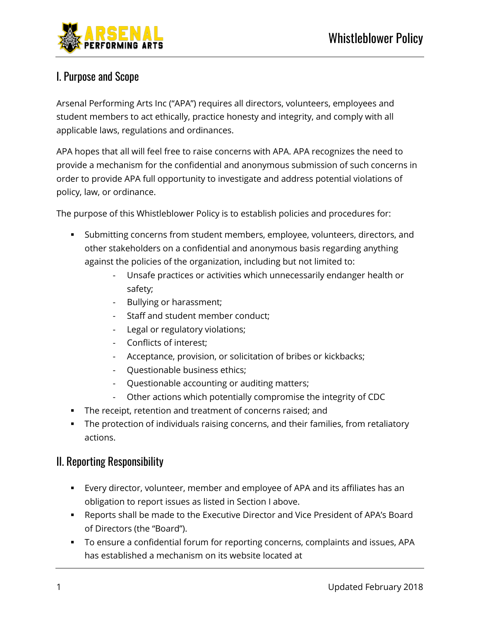

# I. Purpose and Scope

Arsenal Performing Arts Inc ("APA") requires all directors, volunteers, employees and student members to act ethically, practice honesty and integrity, and comply with all applicable laws, regulations and ordinances.

APA hopes that all will feel free to raise concerns with APA. APA recognizes the need to provide a mechanism for the confidential and anonymous submission of such concerns in order to provide APA full opportunity to investigate and address potential violations of policy, law, or ordinance.

The purpose of this Whistleblower Policy is to establish policies and procedures for:

- Submitting concerns from student members, employee, volunteers, directors, and other stakeholders on a confidential and anonymous basis regarding anything against the policies of the organization, including but not limited to:
	- Unsafe practices or activities which unnecessarily endanger health or safety;
	- Bullying or harassment;
	- Staff and student member conduct;
	- Legal or regulatory violations;
	- Conflicts of interest;
	- Acceptance, provision, or solicitation of bribes or kickbacks;
	- Questionable business ethics;
	- Questionable accounting or auditing matters;
	- Other actions which potentially compromise the integrity of CDC
- The receipt, retention and treatment of concerns raised; and
- The protection of individuals raising concerns, and their families, from retaliatory actions.

## II. Reporting Responsibility

- Every director, volunteer, member and employee of APA and its affiliates has an obligation to report issues as listed in Section I above.
- Reports shall be made to the Executive Director and Vice President of APA's Board of Directors (the "Board").
- To ensure a confidential forum for reporting concerns, complaints and issues, APA has established a mechanism on its website located at